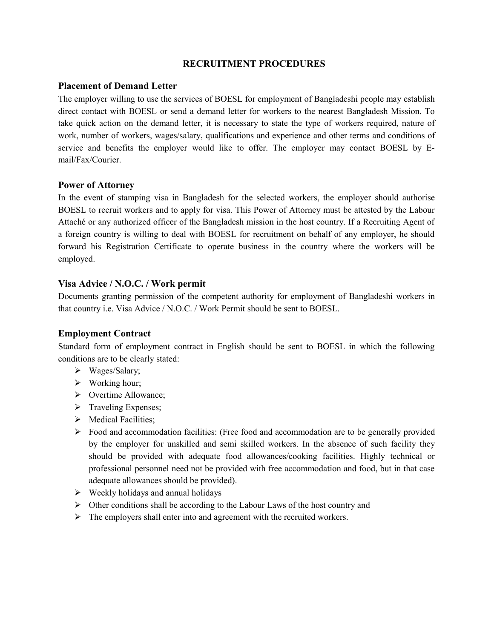# **RECRUITMENT PROCEDURES**

## **Placement of Demand Letter**

The employer willing to use the services of BOESL for employment of Bangladeshi people may establish direct contact with BOESL or send a demand letter for workers to the nearest Bangladesh Mission. To take quick action on the demand letter, it is necessary to state the type of workers required, nature of work, number of workers, wages/salary, qualifications and experience and other terms and conditions of service and benefits the employer would like to offer. The employer may contact BOESL by Email/Fax/Courier.

## **Power of Attorney**

In the event of stamping visa in Bangladesh for the selected workers, the employer should authorise BOESL to recruit workers and to apply for visa. This Power of Attorney must be attested by the Labour Attaché or any authorized officer of the Bangladesh mission in the host country. If a Recruiting Agent of a foreign country is willing to deal with BOESL for recruitment on behalf of any employer, he should forward his Registration Certificate to operate business in the country where the workers will be employed.

## **Visa Advice / N.O.C. / Work permit**

Documents granting permission of the competent authority for employment of Bangladeshi workers in that country i.e. Visa Advice / N.O.C. / Work Permit should be sent to BOESL.

#### **Employment Contract**

Standard form of employment contract in English should be sent to BOESL in which the following conditions are to be clearly stated:

- Wages/Salary;
- $\triangleright$  Working hour;
- ▶ Overtime Allowance;
- $\triangleright$  Traveling Expenses;
- $\triangleright$  Medical Facilities:
- $\triangleright$  Food and accommodation facilities: (Free food and accommodation are to be generally provided by the employer for unskilled and semi skilled workers. In the absence of such facility they should be provided with adequate food allowances/cooking facilities. Highly technical or professional personnel need not be provided with free accommodation and food, but in that case adequate allowances should be provided).
- $\triangleright$  Weekly holidays and annual holidays
- Other conditions shall be according to the Labour Laws of the host country and
- $\triangleright$  The employers shall enter into and agreement with the recruited workers.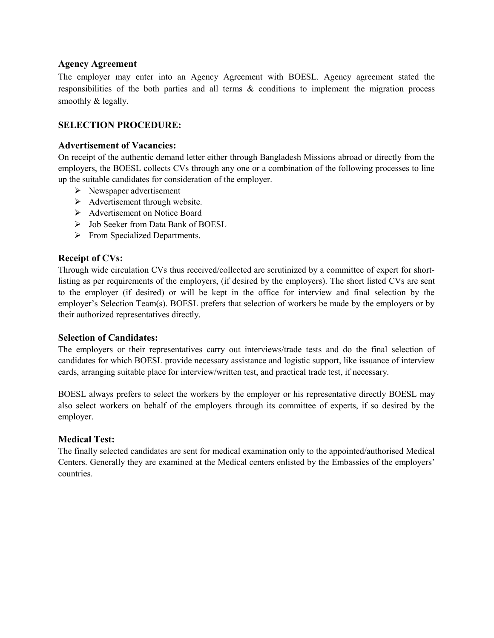## **Agency Agreement**

The employer may enter into an Agency Agreement with BOESL. Agency agreement stated the responsibilities of the both parties and all terms & conditions to implement the migration process smoothly & legally.

# **SELECTION PROCEDURE:**

## **Advertisement of Vacancies:**

On receipt of the authentic demand letter either through Bangladesh Missions abroad or directly from the employers, the BOESL collects CVs through any one or a combination of the following processes to line up the suitable candidates for consideration of the employer.

- $\triangleright$  Newspaper advertisement
- $\triangleright$  Advertisement through website.
- Advertisement on Notice Board
- Job Seeker from Data Bank of BOESL
- $\triangleright$  From Specialized Departments.

## **Receipt of CVs:**

Through wide circulation CVs thus received/collected are scrutinized by a committee of expert for shortlisting as per requirements of the employers, (if desired by the employers). The short listed CVs are sent to the employer (if desired) or will be kept in the office for interview and final selection by the employer's Selection Team(s). BOESL prefers that selection of workers be made by the employers or by their authorized representatives directly.

#### **Selection of Candidates:**

The employers or their representatives carry out interviews/trade tests and do the final selection of candidates for which BOESL provide necessary assistance and logistic support, like issuance of interview cards, arranging suitable place for interview/written test, and practical trade test, if necessary.

BOESL always prefers to select the workers by the employer or his representative directly BOESL may also select workers on behalf of the employers through its committee of experts, if so desired by the employer.

#### **Medical Test:**

The finally selected candidates are sent for medical examination only to the appointed/authorised Medical Centers. Generally they are examined at the Medical centers enlisted by the Embassies of the employers' countries.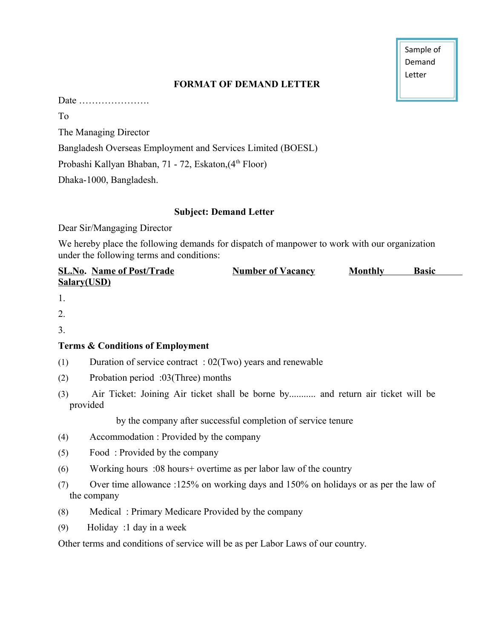Sample of Demand Letter

# **FORMAT OF DEMAND LETTER**

Date ………………….

To

The Managing Director

Bangladesh Overseas Employment and Services Limited (BOESL)

Probashi Kallyan Bhaban, 71 - 72, Eskaton, (4<sup>th</sup> Floor)

Dhaka-1000, Bangladesh.

# **Subject: Demand Letter**

Dear Sir/Mangaging Director

We hereby place the following demands for dispatch of manpower to work with our organization under the following terms and conditions:

| <b>SL.No. Name of Post/Trade</b> | <b>Number of Vacancy</b> | <b>Monthly</b> | <b>Basic</b> |
|----------------------------------|--------------------------|----------------|--------------|
| Salary(USD)                      |                          |                |              |

1.

2.

3.

# **Terms & Conditions of Employment**

- (1) Duration of service contract : 02(Two) years and renewable
- (2) Probation period :03(Three) months
- (3) Air Ticket: Joining Air ticket shall be borne by........... and return air ticket will be provided

by the company after successful completion of service tenure

- (4) Accommodation : Provided by the company
- (5) Food : Provided by the company
- (6) Working hours :08 hours+ overtime as per labor law of the country
- (7) Over time allowance :125% on working days and 150% on holidays or as per the law of the company
- (8) Medical : Primary Medicare Provided by the company
- (9) Holiday :1 day in a week

Other terms and conditions of service will be as per Labor Laws of our country.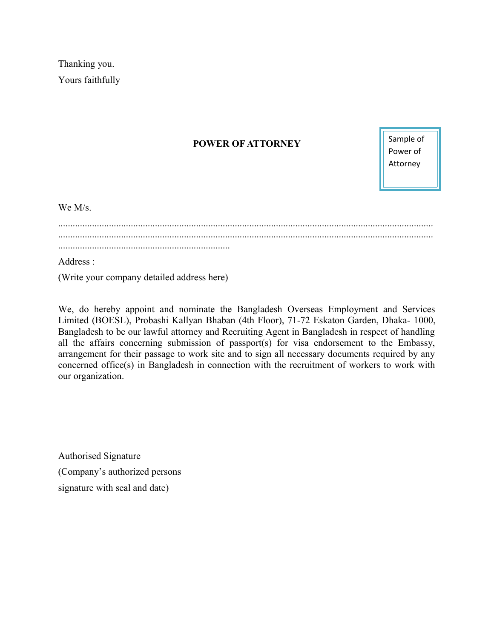Thanking you. Yours faithfully

# **POWER OF ATTORNEY**

Sample of Power of Attorney

We M/s.

........................................................................................................................................................... ...........................................................................................................................................................

Address :

(Write your company detailed address here)

We, do hereby appoint and nominate the Bangladesh Overseas Employment and Services Limited (BOESL), Probashi Kallyan Bhaban (4th Floor), 71-72 Eskaton Garden, Dhaka- 1000, Bangladesh to be our lawful attorney and Recruiting Agent in Bangladesh in respect of handling all the affairs concerning submission of passport(s) for visa endorsement to the Embassy, arrangement for their passage to work site and to sign all necessary documents required by any concerned office(s) in Bangladesh in connection with the recruitment of workers to work with our organization.

Authorised Signature (Company's authorized persons signature with seal and date)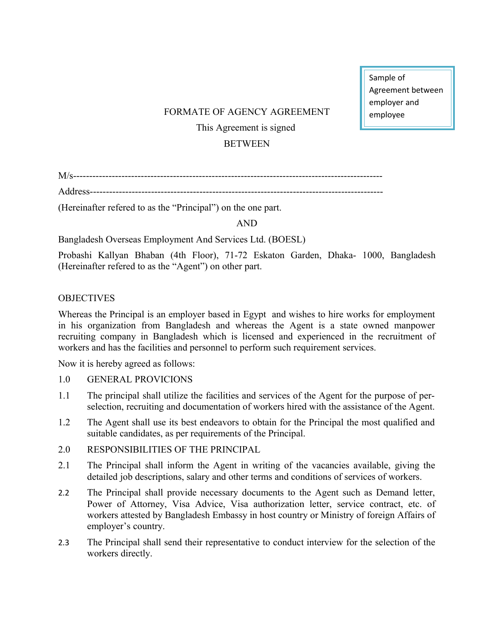Sample of Agreement between employer and employee

# FORMATE OF AGENCY AGREEMENT This Agreement is signed **BETWEEN**

M/s------------------------------------------------------------------------------------------------

Address-------------------------------------------------------------------------------------------

(Hereinafter refered to as the "Principal") on the one part.

AND

Bangladesh Overseas Employment And Services Ltd. (BOESL)

Probashi Kallyan Bhaban (4th Floor), 71-72 Eskaton Garden, Dhaka- 1000, Bangladesh (Hereinafter refered to as the "Agent") on other part.

## **OBJECTIVES**

Whereas the Principal is an employer based in Egypt and wishes to hire works for employment in his organization from Bangladesh and whereas the Agent is a state owned manpower recruiting company in Bangladesh which is licensed and experienced in the recruitment of workers and has the facilities and personnel to perform such requirement services.

Now it is hereby agreed as follows:

- 1.0 GENERAL PROVICIONS
- 1.1 The principal shall utilize the facilities and services of the Agent for the purpose of perselection, recruiting and documentation of workers hired with the assistance of the Agent.
- 1.2 The Agent shall use its best endeavors to obtain for the Principal the most qualified and suitable candidates, as per requirements of the Principal.
- 2.0 RESPONSIBILITIES OF THE PRINCIPAL
- 2.1 The Principal shall inform the Agent in writing of the vacancies available, giving the detailed job descriptions, salary and other terms and conditions of services of workers.
- 2.2 The Principal shall provide necessary documents to the Agent such as Demand letter, Power of Attorney, Visa Advice, Visa authorization letter, service contract, etc. of workers attested by Bangladesh Embassy in host country or Ministry of foreign Affairs of employer's country.
- 2.3 The Principal shall send their representative to conduct interview for the selection of the workers directly.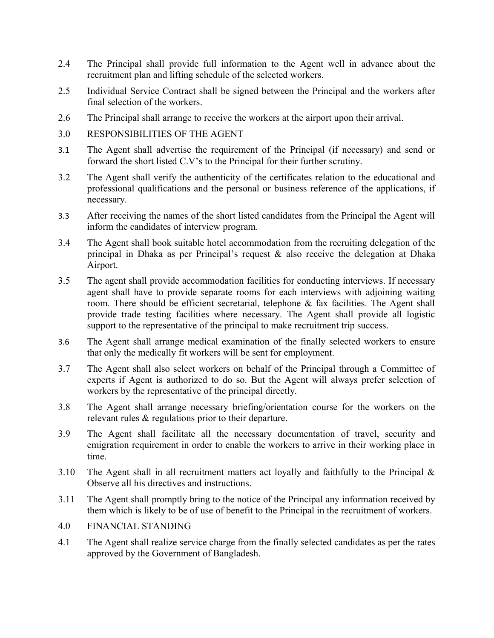- 2.4 The Principal shall provide full information to the Agent well in advance about the recruitment plan and lifting schedule of the selected workers.
- 2.5 Individual Service Contract shall be signed between the Principal and the workers after final selection of the workers.
- 2.6 The Principal shall arrange to receive the workers at the airport upon their arrival.
- 3.0 RESPONSIBILITIES OF THE AGENT
- 3.1 The Agent shall advertise the requirement of the Principal (if necessary) and send or forward the short listed C.V's to the Principal for their further scrutiny.
- 3.2 The Agent shall verify the authenticity of the certificates relation to the educational and professional qualifications and the personal or business reference of the applications, if necessary.
- 3.3 After receiving the names of the short listed candidates from the Principal the Agent will inform the candidates of interview program.
- 3.4 The Agent shall book suitable hotel accommodation from the recruiting delegation of the principal in Dhaka as per Principal's request  $\&$  also receive the delegation at Dhaka Airport.
- 3.5 The agent shall provide accommodation facilities for conducting interviews. If necessary agent shall have to provide separate rooms for each interviews with adjoining waiting room. There should be efficient secretarial, telephone & fax facilities. The Agent shall provide trade testing facilities where necessary. The Agent shall provide all logistic support to the representative of the principal to make recruitment trip success.
- 3.6 The Agent shall arrange medical examination of the finally selected workers to ensure that only the medically fit workers will be sent for employment.
- 3.7 The Agent shall also select workers on behalf of the Principal through a Committee of experts if Agent is authorized to do so. But the Agent will always prefer selection of workers by the representative of the principal directly.
- 3.8 The Agent shall arrange necessary briefing/orientation course for the workers on the relevant rules & regulations prior to their departure.
- 3.9 The Agent shall facilitate all the necessary documentation of travel, security and emigration requirement in order to enable the workers to arrive in their working place in time.
- 3.10 The Agent shall in all recruitment matters act loyally and faithfully to the Principal & Observe all his directives and instructions.
- 3.11 The Agent shall promptly bring to the notice of the Principal any information received by them which is likely to be of use of benefit to the Principal in the recruitment of workers.
- 4.0 FINANCIAL STANDING
- 4.1 The Agent shall realize service charge from the finally selected candidates as per the rates approved by the Government of Bangladesh.